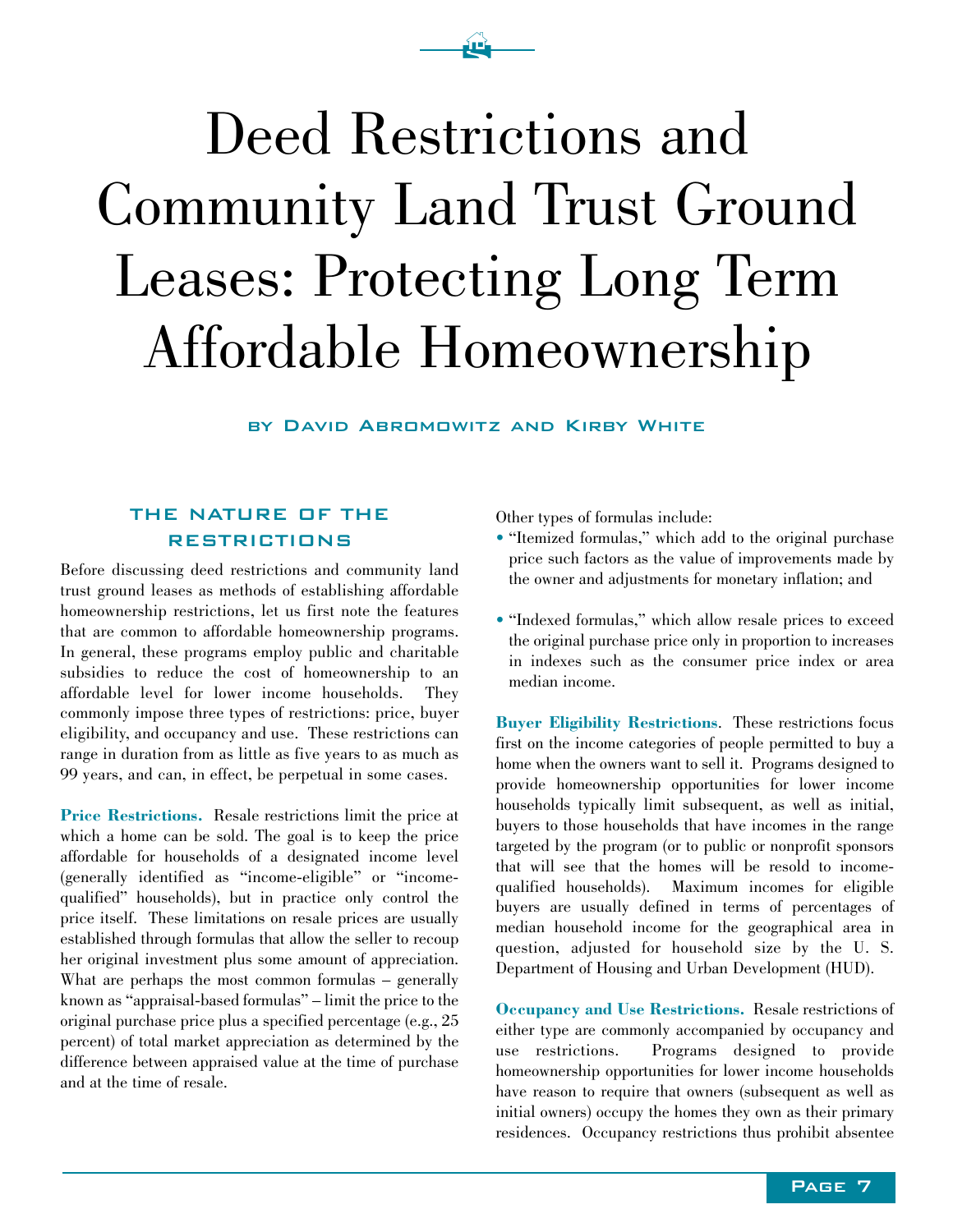# Deed Restrictions and Community Land Trust Ground Leases: Protecting Long Term Affordable Homeownership

 $\mathbf{\hat{E}}$ 

by David Abromowitz and Kirby White

#### THE NATURE OF THE RESTRICTIONS

Before discussing deed restrictions and community land trust ground leases as methods of establishing affordable homeownership restrictions, let us first note the features that are common to affordable homeownership programs. In general, these programs employ public and charitable subsidies to reduce the cost of homeownership to an affordable level for lower income households. They commonly impose three types of restrictions: price, buyer eligibility, and occupancy and use. These restrictions can range in duration from as little as five years to as much as 99 years, and can, in effect, be perpetual in some cases.

**Price Restrictions.** Resale restrictions limit the price at which a home can be sold. The goal is to keep the price affordable for households of a designated income level (generally identified as "income-eligible" or "incomequalified" households), but in practice only control the price itself. These limitations on resale prices are usually established through formulas that allow the seller to recoup her original investment plus some amount of appreciation. What are perhaps the most common formulas – generally known as "appraisal-based formulas" – limit the price to the original purchase price plus a specified percentage (e.g., 25 percent) of total market appreciation as determined by the difference between appraised value at the time of purchase and at the time of resale.

Other types of formulas include:

- "Itemized formulas," which add to the original purchase price such factors as the value of improvements made by the owner and adjustments for monetary inflation; and
- "Indexed formulas," which allow resale prices to exceed the original purchase price only in proportion to increases in indexes such as the consumer price index or area median income.

**Buyer Eligibility Restrictions**. These restrictions focus first on the income categories of people permitted to buy a home when the owners want to sell it. Programs designed to provide homeownership opportunities for lower income households typically limit subsequent, as well as initial, buyers to those households that have incomes in the range targeted by the program (or to public or nonprofit sponsors that will see that the homes will be resold to incomequalified households). Maximum incomes for eligible buyers are usually defined in terms of percentages of median household income for the geographical area in question, adjusted for household size by the U. S. Department of Housing and Urban Development (HUD).

**Occupancy and Use Restrictions.** Resale restrictions of either type are commonly accompanied by occupancy and use restrictions. Programs designed to provide homeownership opportunities for lower income households have reason to require that owners (subsequent as well as initial owners) occupy the homes they own as their primary residences. Occupancy restrictions thus prohibit absentee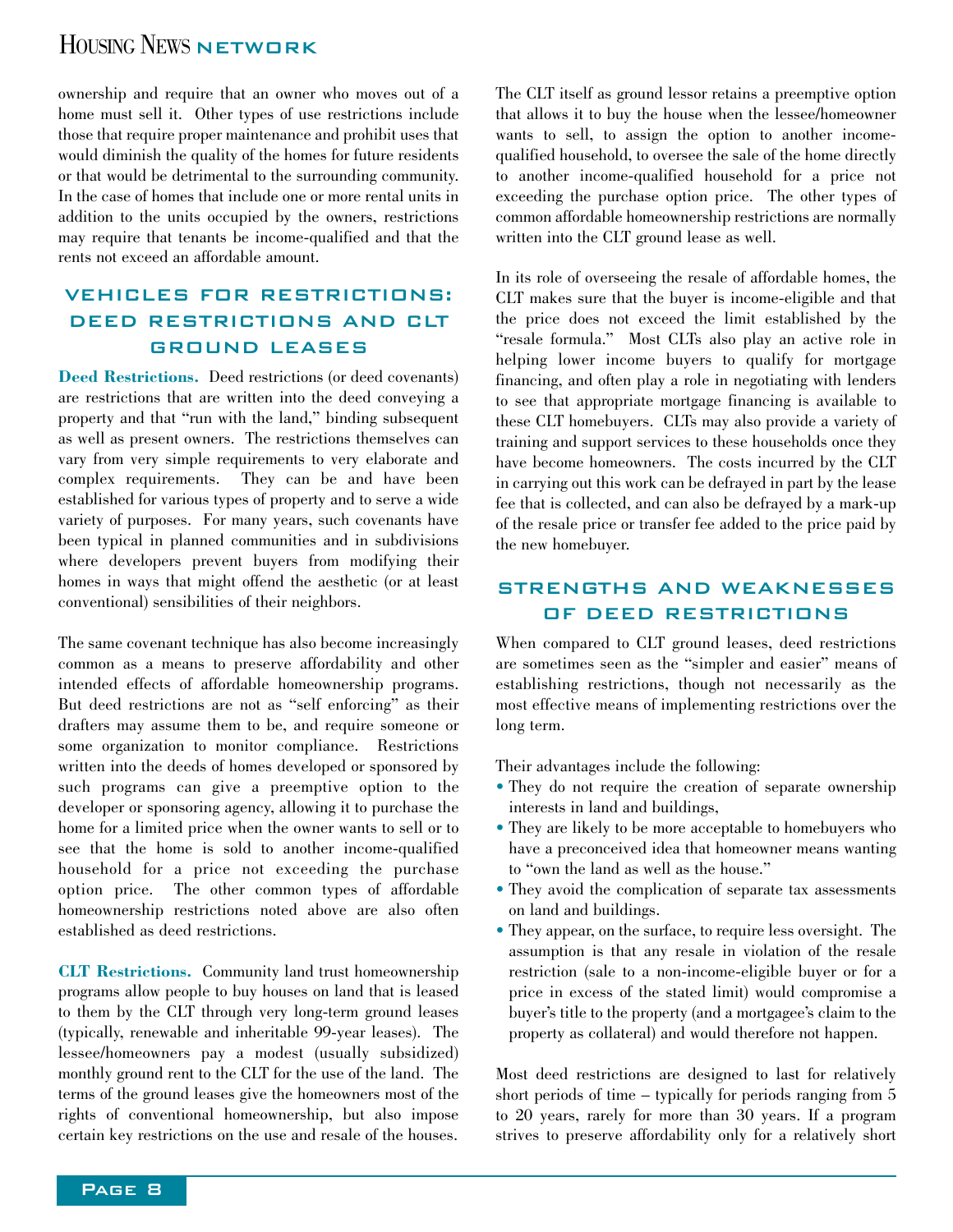### HOUSING NEWS NETWORK

ownership and require that an owner who moves out of a home must sell it. Other types of use restrictions include those that require proper maintenance and prohibit uses that would diminish the quality of the homes for future residents or that would be detrimental to the surrounding community. In the case of homes that include one or more rental units in addition to the units occupied by the owners, restrictions may require that tenants be income-qualified and that the rents not exceed an affordable amount.

#### VEHICLES FOR RESTRICTIONS: DEED RESTRICTIONS AND CLT GROUND LEASES

**Deed Restrictions.** Deed restrictions (or deed covenants) are restrictions that are written into the deed conveying a property and that "run with the land," binding subsequent as well as present owners. The restrictions themselves can vary from very simple requirements to very elaborate and complex requirements. They can be and have been established for various types of property and to serve a wide variety of purposes. For many years, such covenants have been typical in planned communities and in subdivisions where developers prevent buyers from modifying their homes in ways that might offend the aesthetic (or at least conventional) sensibilities of their neighbors.

The same covenant technique has also become increasingly common as a means to preserve affordability and other intended effects of affordable homeownership programs. But deed restrictions are not as "self enforcing" as their drafters may assume them to be, and require someone or some organization to monitor compliance. Restrictions written into the deeds of homes developed or sponsored by such programs can give a preemptive option to the developer or sponsoring agency, allowing it to purchase the home for a limited price when the owner wants to sell or to see that the home is sold to another income-qualified household for a price not exceeding the purchase option price. The other common types of affordable homeownership restrictions noted above are also often established as deed restrictions.

**CLT Restrictions.** Community land trust homeownership programs allow people to buy houses on land that is leased to them by the CLT through very long-term ground leases (typically, renewable and inheritable 99-year leases). The lessee/homeowners pay a modest (usually subsidized) monthly ground rent to the CLT for the use of the land. The terms of the ground leases give the homeowners most of the rights of conventional homeownership, but also impose certain key restrictions on the use and resale of the houses.

The CLT itself as ground lessor retains a preemptive option that allows it to buy the house when the lessee/homeowner wants to sell, to assign the option to another incomequalified household, to oversee the sale of the home directly to another income-qualified household for a price not exceeding the purchase option price. The other types of common affordable homeownership restrictions are normally written into the CLT ground lease as well.

In its role of overseeing the resale of affordable homes, the CLT makes sure that the buyer is income-eligible and that the price does not exceed the limit established by the "resale formula." Most CLTs also play an active role in helping lower income buyers to qualify for mortgage financing, and often play a role in negotiating with lenders to see that appropriate mortgage financing is available to these CLT homebuyers. CLTs may also provide a variety of training and support services to these households once they have become homeowners. The costs incurred by the CLT in carrying out this work can be defrayed in part by the lease fee that is collected, and can also be defrayed by a mark-up of the resale price or transfer fee added to the price paid by the new homebuyer.

#### STRENGTHS AND WEAKNESSES OF DEED RESTRICTIONS

When compared to CLT ground leases, deed restrictions are sometimes seen as the "simpler and easier" means of establishing restrictions, though not necessarily as the most effective means of implementing restrictions over the long term.

Their advantages include the following:

- They do not require the creation of separate ownership interests in land and buildings,
- They are likely to be more acceptable to homebuyers who have a preconceived idea that homeowner means wanting to "own the land as well as the house."
- They avoid the complication of separate tax assessments on land and buildings.
- They appear, on the surface, to require less oversight. The assumption is that any resale in violation of the resale restriction (sale to a non-income-eligible buyer or for a price in excess of the stated limit) would compromise a buyer's title to the property (and a mortgagee's claim to the property as collateral) and would therefore not happen.

Most deed restrictions are designed to last for relatively short periods of time – typically for periods ranging from 5 to 20 years, rarely for more than 30 years. If a program strives to preserve affordability only for a relatively short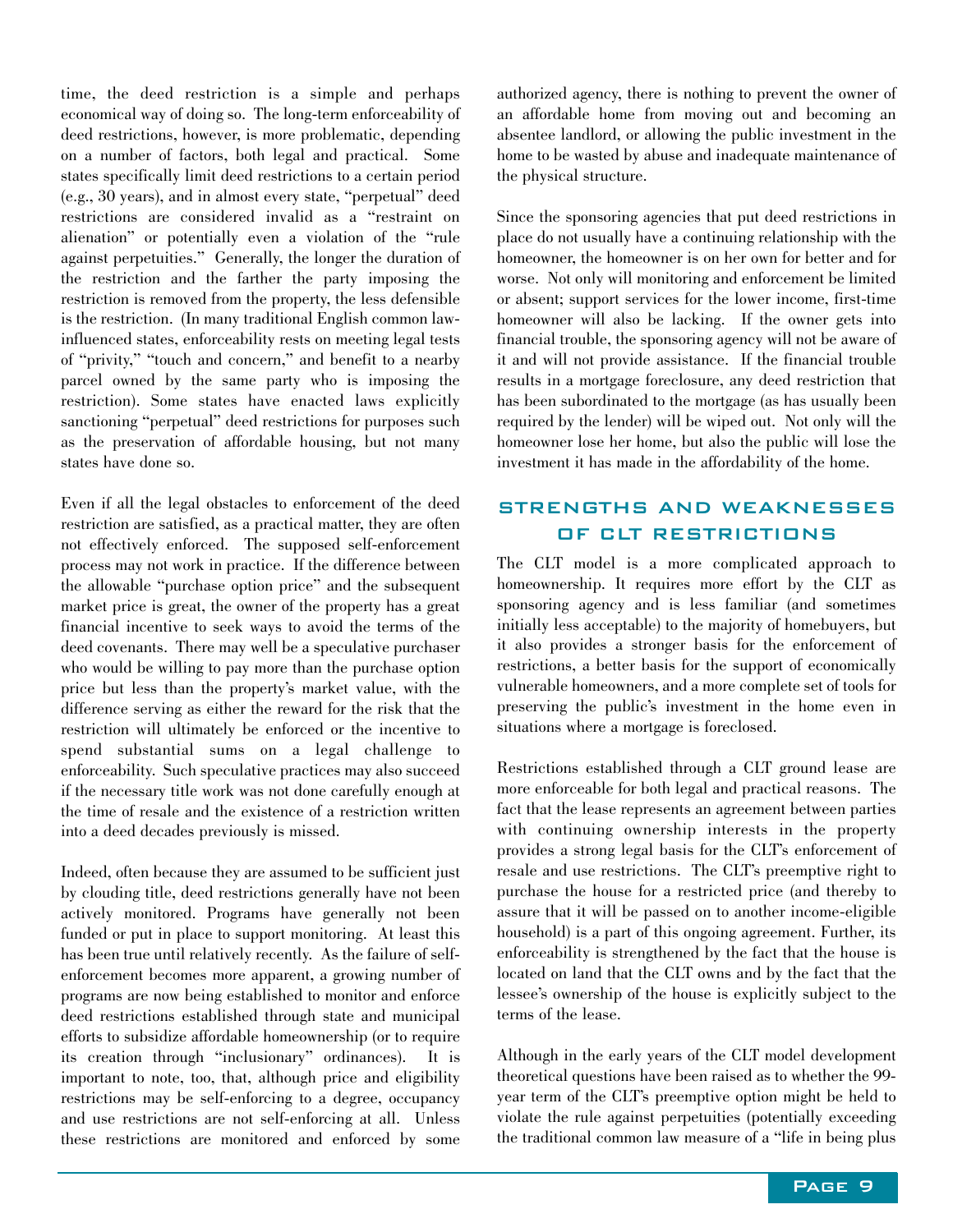time, the deed restriction is a simple and perhaps economical way of doing so. The long-term enforceability of deed restrictions, however, is more problematic, depending on a number of factors, both legal and practical. Some states specifically limit deed restrictions to a certain period (e.g., 30 years), and in almost every state, "perpetual" deed restrictions are considered invalid as a "restraint on alienation" or potentially even a violation of the "rule against perpetuities." Generally, the longer the duration of the restriction and the farther the party imposing the restriction is removed from the property, the less defensible is the restriction. (In many traditional English common lawinfluenced states, enforceability rests on meeting legal tests of "privity," "touch and concern," and benefit to a nearby parcel owned by the same party who is imposing the restriction). Some states have enacted laws explicitly sanctioning "perpetual" deed restrictions for purposes such as the preservation of affordable housing, but not many states have done so.

Even if all the legal obstacles to enforcement of the deed restriction are satisfied, as a practical matter, they are often not effectively enforced. The supposed self-enforcement process may not work in practice. If the difference between the allowable "purchase option price" and the subsequent market price is great, the owner of the property has a great financial incentive to seek ways to avoid the terms of the deed covenants. There may well be a speculative purchaser who would be willing to pay more than the purchase option price but less than the property's market value, with the difference serving as either the reward for the risk that the restriction will ultimately be enforced or the incentive to spend substantial sums on a legal challenge to enforceability. Such speculative practices may also succeed if the necessary title work was not done carefully enough at the time of resale and the existence of a restriction written into a deed decades previously is missed.

Indeed, often because they are assumed to be sufficient just by clouding title, deed restrictions generally have not been actively monitored. Programs have generally not been funded or put in place to support monitoring. At least this has been true until relatively recently. As the failure of selfenforcement becomes more apparent, a growing number of programs are now being established to monitor and enforce deed restrictions established through state and municipal efforts to subsidize affordable homeownership (or to require its creation through "inclusionary" ordinances). It is important to note, too, that, although price and eligibility restrictions may be self-enforcing to a degree, occupancy and use restrictions are not self-enforcing at all. Unless these restrictions are monitored and enforced by some authorized agency, there is nothing to prevent the owner of an affordable home from moving out and becoming an absentee landlord, or allowing the public investment in the home to be wasted by abuse and inadequate maintenance of the physical structure.

Since the sponsoring agencies that put deed restrictions in place do not usually have a continuing relationship with the homeowner, the homeowner is on her own for better and for worse. Not only will monitoring and enforcement be limited or absent; support services for the lower income, first-time homeowner will also be lacking. If the owner gets into financial trouble, the sponsoring agency will not be aware of it and will not provide assistance. If the financial trouble results in a mortgage foreclosure, any deed restriction that has been subordinated to the mortgage (as has usually been required by the lender) will be wiped out. Not only will the homeowner lose her home, but also the public will lose the investment it has made in the affordability of the home.

#### STRENGTHS AND WEAKNESSES OF CLT RESTRICTIONS

The CLT model is a more complicated approach to homeownership. It requires more effort by the CLT as sponsoring agency and is less familiar (and sometimes initially less acceptable) to the majority of homebuyers, but it also provides a stronger basis for the enforcement of restrictions, a better basis for the support of economically vulnerable homeowners, and a more complete set of tools for preserving the public's investment in the home even in situations where a mortgage is foreclosed.

Restrictions established through a CLT ground lease are more enforceable for both legal and practical reasons. The fact that the lease represents an agreement between parties with continuing ownership interests in the property provides a strong legal basis for the CLT's enforcement of resale and use restrictions. The CLT's preemptive right to purchase the house for a restricted price (and thereby to assure that it will be passed on to another income-eligible household) is a part of this ongoing agreement. Further, its enforceability is strengthened by the fact that the house is located on land that the CLT owns and by the fact that the lessee's ownership of the house is explicitly subject to the terms of the lease.

Although in the early years of the CLT model development theoretical questions have been raised as to whether the 99 year term of the CLT's preemptive option might be held to violate the rule against perpetuities (potentially exceeding the traditional common law measure of a "life in being plus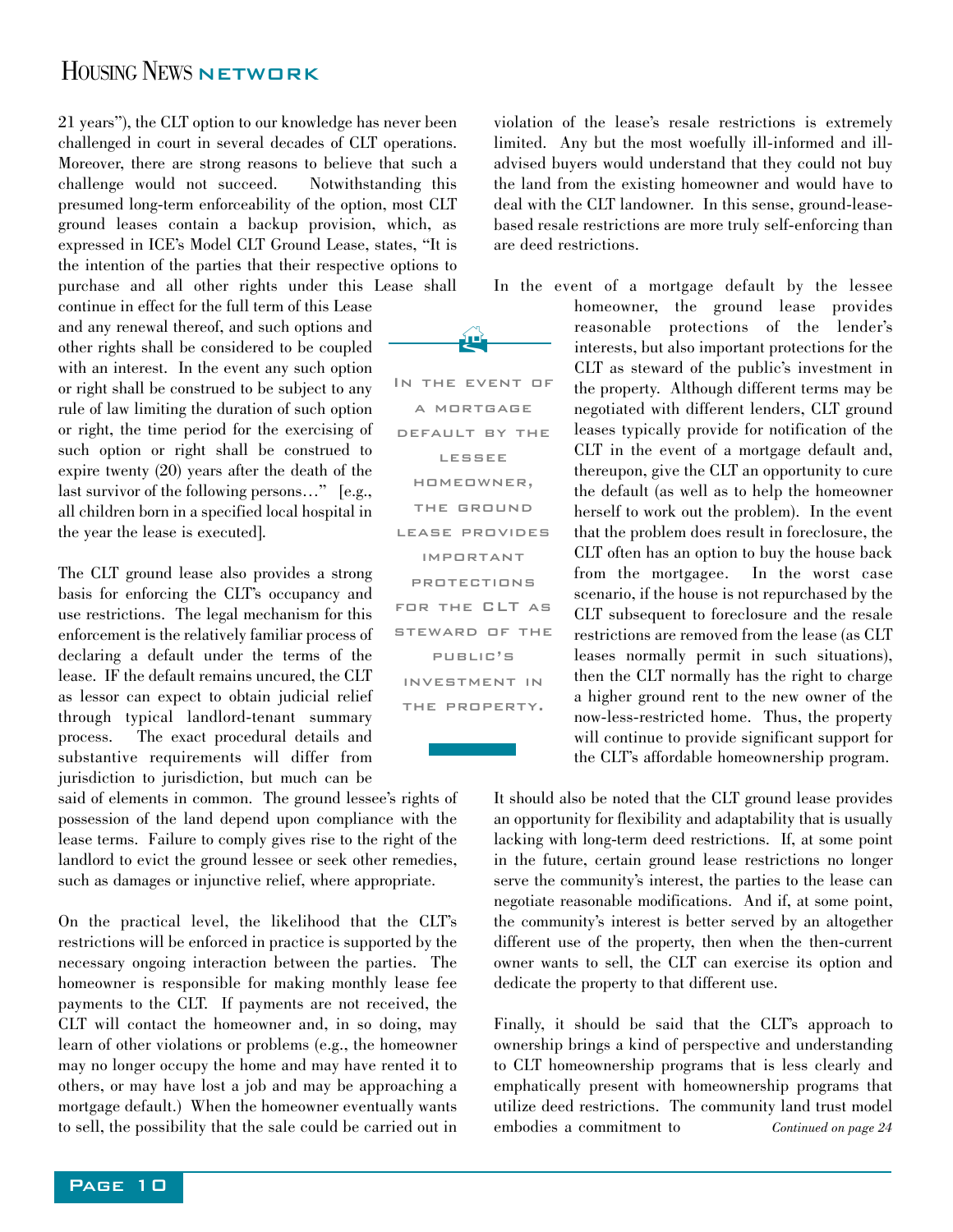#### HOUSING NEWS NETWORK

21 years"), the CLT option to our knowledge has never been challenged in court in several decades of CLT operations. Moreover, there are strong reasons to believe that such a challenge would not succeed. Notwithstanding this presumed long-term enforceability of the option, most CLT ground leases contain a backup provision, which, as expressed in ICE's Model CLT Ground Lease, states, "It is the intention of the parties that their respective options to purchase and all other rights under this Lease shall

continue in effect for the full term of this Lease and any renewal thereof, and such options and other rights shall be considered to be coupled with an interest. In the event any such option or right shall be construed to be subject to any rule of law limiting the duration of such option or right, the time period for the exercising of such option or right shall be construed to expire twenty (20) years after the death of the last survivor of the following persons…" [e.g., all children born in a specified local hospital in the year the lease is executed].

The CLT ground lease also provides a strong basis for enforcing the CLT's occupancy and use restrictions. The legal mechanism for this enforcement is the relatively familiar process of declaring a default under the terms of the lease. IF the default remains uncured, the CLT as lessor can expect to obtain judicial relief through typical landlord-tenant summary process. The exact procedural details and substantive requirements will differ from jurisdiction to jurisdiction, but much can be

said of elements in common. The ground lessee's rights of possession of the land depend upon compliance with the lease terms. Failure to comply gives rise to the right of the landlord to evict the ground lessee or seek other remedies, such as damages or injunctive relief, where appropriate.

On the practical level, the likelihood that the CLT's restrictions will be enforced in practice is supported by the necessary ongoing interaction between the parties. The homeowner is responsible for making monthly lease fee payments to the CLT. If payments are not received, the CLT will contact the homeowner and, in so doing, may learn of other violations or problems (e.g., the homeowner may no longer occupy the home and may have rented it to others, or may have lost a job and may be approaching a mortgage default.) When the homeowner eventually wants to sell, the possibility that the sale could be carried out in

violation of the lease's resale restrictions is extremely limited. Any but the most woefully ill-informed and illadvised buyers would understand that they could not buy the land from the existing homeowner and would have to deal with the CLT landowner. In this sense, ground-leasebased resale restrictions are more truly self-enforcing than are deed restrictions.

In the event of a mortgage default by the lessee homeowner, the ground lease provides reasonable protections of the lender's interests, but also important protections for the CLT as steward of the public's investment in the property. Although different terms may be negotiated with different lenders, CLT ground leases typically provide for notification of the CLT in the event of a mortgage default and, thereupon, give the CLT an opportunity to cure the default (as well as to help the homeowner herself to work out the problem). In the event that the problem does result in foreclosure, the CLT often has an option to buy the house back from the mortgagee. In the worst case scenario, if the house is not repurchased by the CLT subsequent to foreclosure and the resale restrictions are removed from the lease (as CLT leases normally permit in such situations), then the CLT normally has the right to charge a higher ground rent to the new owner of the now-less-restricted home. Thus, the property will continue to provide significant support for the CLT's affordable homeownership program. In the event of

> It should also be noted that the CLT ground lease provides an opportunity for flexibility and adaptability that is usually lacking with long-term deed restrictions. If, at some point in the future, certain ground lease restrictions no longer serve the community's interest, the parties to the lease can negotiate reasonable modifications. And if, at some point, the community's interest is better served by an altogether different use of the property, then when the then-current owner wants to sell, the CLT can exercise its option and dedicate the property to that different use.

> Finally, it should be said that the CLT's approach to ownership brings a kind of perspective and understanding to CLT homeownership programs that is less clearly and emphatically present with homeownership programs that utilize deed restrictions. The community land trust model embodies a commitment to *Continued on page 24*



a mortgage default by the lessee homeowner, the ground lease provides important protections for the CLT as steward of the public's investment in the property.